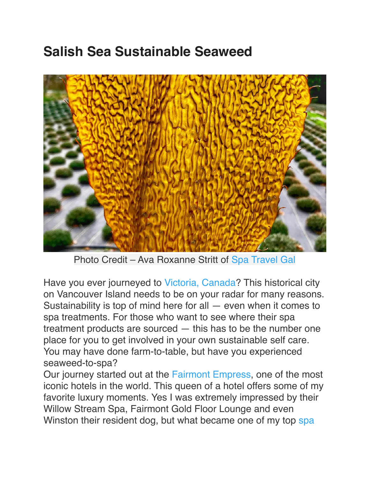## **Salish Sea Sustainable Seaweed**



Photo Credit – Ava Roxanne Stritt of [Spa Travel Gal](https://www.instagram.com/spatravelgal/)

Have you ever journeyed to [Victoria, Canada](https://www.tourismvictoria.com/)? This historical city on Vancouver Island needs to be on your radar for many reasons. Sustainability is top of mind here for all — even when it comes to spa treatments. For those who want to see where their spa treatment products are sourced — this has to be the number one place for you to get involved in your own sustainable self care. You may have done farm-to-table, but have you experienced seaweed-to-spa?

Our journey started out at the [Fairmont Empress](https://www.travelocity.com/Victoria-Hotels-The-Fairmont-Empress.h8478.Hotel-Information), one of the most iconic hotels in the world. This queen of a hotel offers some of my favorite luxury moments. Yes I was extremely impressed by their Willow Stream Spa, Fairmont Gold Floor Lounge and even Winston their resident dog, but what became one of my top spa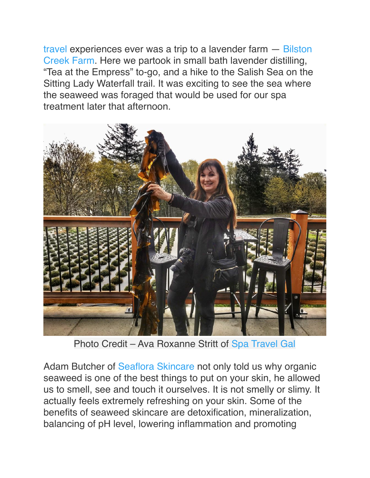[travel](https://www.spatravelgal.com/) experiences ever was a trip to a lavender farm — [Bilston](https://bilston.ca/)  [Creek Farm](https://bilston.ca/). Here we partook in small bath lavender distilling, "Tea at the Empress" to-go, and a hike to the Salish Sea on the Sitting Lady Waterfall trail. It was exciting to see the sea where the seaweed was foraged that would be used for our spa treatment later that afternoon.



Photo Credit – Ava Roxanne Stritt of [Spa Travel Gal](https://www.instagram.com/spatravelgal/)

Adam Butcher of [Seaflora Skincare](https://seafloraskincare.com/) not only told us why organic seaweed is one of the best things to put on your skin, he allowed us to smell, see and touch it ourselves. It is not smelly or slimy. It actually feels extremely refreshing on your skin. Some of the benefits of seaweed skincare are detoxification, mineralization, balancing of pH level, lowering inflammation and promoting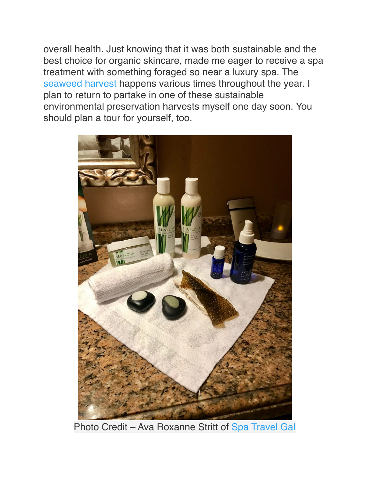overall health. Just knowing that it was both sustainable and the best choice for organic skincare, made me eager to receive a spa treatment with something foraged so near a luxury spa. Th[e](https://seafloraskincare.com/seaweed-harvest/) [seaweed harvest](https://seafloraskincare.com/seaweed-harvest/) happens various times throughout the year. I plan to return to partake in one of these sustainable environmental preservation harvests myself one day soon. You should plan a tour for yourself, too.



Photo Credit – Ava Roxanne Stritt of [Spa Travel Gal](https://www.instagram.com/spatravelgal/)